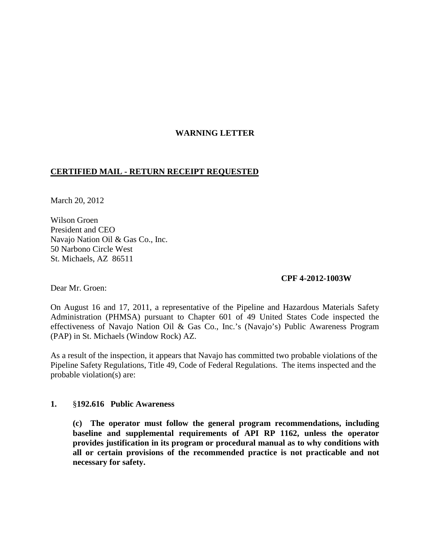# **WARNING LETTER**

## **CERTIFIED MAIL - RETURN RECEIPT REQUESTED**

March 20, 2012

Wilson Groen President and CEO Navajo Nation Oil & Gas Co., Inc. 50 Narbono Circle West St. Michaels, AZ 86511

### **CPF 4-2012-1003W**

Dear Mr. Groen:

On August 16 and 17, 2011, a representative of the Pipeline and Hazardous Materials Safety Administration (PHMSA) pursuant to Chapter 601 of 49 United States Code inspected the effectiveness of Navajo Nation Oil & Gas Co., Inc.'s (Navajo's) Public Awareness Program (PAP) in St. Michaels (Window Rock) AZ.

As a result of the inspection, it appears that Navajo has committed two probable violations of the Pipeline Safety Regulations, Title 49, Code of Federal Regulations. The items inspected and the probable violation(s) are:

### **1.** §**192.616 Public Awareness**

**(c) The operator must follow the general program recommendations, including baseline and supplemental requirements of API RP 1162, unless the operator provides justification in its program or procedural manual as to why conditions with all or certain provisions of the recommended practice is not practicable and not necessary for safety.**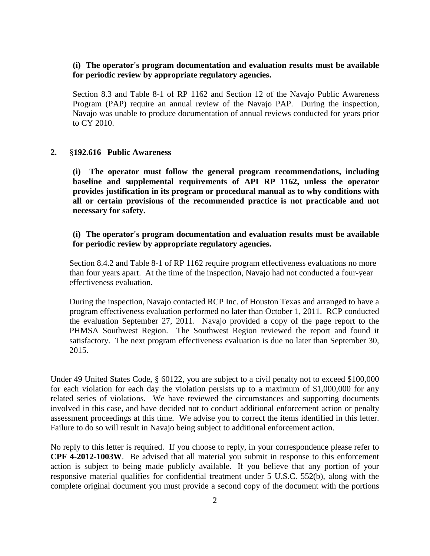## **(i) The operator's program documentation and evaluation results must be available for periodic review by appropriate regulatory agencies.**

Section 8.3 and Table 8-1 of RP 1162 and Section 12 of the Navajo Public Awareness Program (PAP) require an annual review of the Navajo PAP. During the inspection, Navajo was unable to produce documentation of annual reviews conducted for years prior to CY 2010.

#### **2.** §**192.616 Public Awareness**

**(i) The operator must follow the general program recommendations, including baseline and supplemental requirements of API RP 1162, unless the operator provides justification in its program or procedural manual as to why conditions with all or certain provisions of the recommended practice is not practicable and not necessary for safety.**

### **(i) The operator's program documentation and evaluation results must be available for periodic review by appropriate regulatory agencies.**

Section 8.4.2 and Table 8-1 of RP 1162 require program effectiveness evaluations no more than four years apart. At the time of the inspection, Navajo had not conducted a four-year effectiveness evaluation.

During the inspection, Navajo contacted RCP Inc. of Houston Texas and arranged to have a program effectiveness evaluation performed no later than October 1, 2011. RCP conducted the evaluation September 27, 2011. Navajo provided a copy of the page report to the PHMSA Southwest Region. The Southwest Region reviewed the report and found it satisfactory. The next program effectiveness evaluation is due no later than September 30, 2015.

Under 49 United States Code, § 60122, you are subject to a civil penalty not to exceed \$100,000 for each violation for each day the violation persists up to a maximum of \$1,000,000 for any related series of violations. We have reviewed the circumstances and supporting documents involved in this case, and have decided not to conduct additional enforcement action or penalty assessment proceedings at this time. We advise you to correct the items identified in this letter. Failure to do so will result in Navajo being subject to additional enforcement action.

No reply to this letter is required. If you choose to reply, in your correspondence please refer to **CPF 4-2012-1003W**. Be advised that all material you submit in response to this enforcement action is subject to being made publicly available. If you believe that any portion of your responsive material qualifies for confidential treatment under 5 U.S.C. 552(b), along with the complete original document you must provide a second copy of the document with the portions